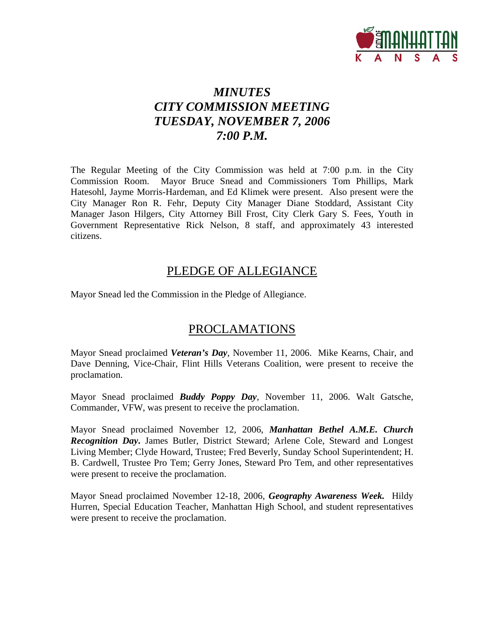

# *MINUTES CITY COMMISSION MEETING TUESDAY, NOVEMBER 7, 2006 7:00 P.M.*

The Regular Meeting of the City Commission was held at 7:00 p.m. in the City Commission Room. Mayor Bruce Snead and Commissioners Tom Phillips, Mark Hatesohl, Jayme Morris-Hardeman, and Ed Klimek were present. Also present were the City Manager Ron R. Fehr, Deputy City Manager Diane Stoddard, Assistant City Manager Jason Hilgers, City Attorney Bill Frost, City Clerk Gary S. Fees, Youth in Government Representative Rick Nelson, 8 staff, and approximately 43 interested citizens.

## PLEDGE OF ALLEGIANCE

Mayor Snead led the Commission in the Pledge of Allegiance.

# PROCLAMATIONS

Mayor Snead proclaimed *Veteran's Day*, November 11, 2006. Mike Kearns, Chair, and Dave Denning, Vice-Chair, Flint Hills Veterans Coalition, were present to receive the proclamation.

Mayor Snead proclaimed *Buddy Poppy Day*, November 11, 2006. Walt Gatsche, Commander, VFW, was present to receive the proclamation.

Mayor Snead proclaimed November 12, 2006, *Manhattan Bethel A.M.E. Church Recognition Day***.** James Butler, District Steward; Arlene Cole, Steward and Longest Living Member; Clyde Howard, Trustee; Fred Beverly, Sunday School Superintendent; H. B. Cardwell, Trustee Pro Tem; Gerry Jones, Steward Pro Tem, and other representatives were present to receive the proclamation.

Mayor Snead proclaimed November 12-18, 2006, *Geography Awareness Week.* Hildy Hurren, Special Education Teacher, Manhattan High School, and student representatives were present to receive the proclamation.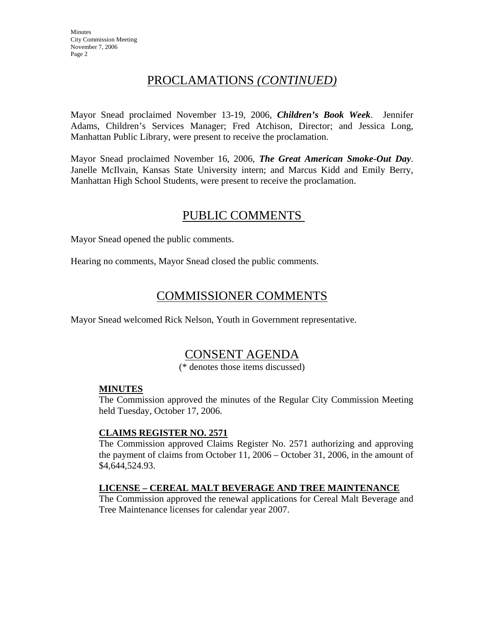# PROCLAMATIONS *(CONTINUED)*

Mayor Snead proclaimed November 13-19, 2006, *Children's Book Week*. Jennifer Adams, Children's Services Manager; Fred Atchison, Director; and Jessica Long, Manhattan Public Library, were present to receive the proclamation.

Mayor Snead proclaimed November 16, 2006, *The Great American Smoke-Out Day*. Janelle McIlvain, Kansas State University intern; and Marcus Kidd and Emily Berry, Manhattan High School Students, were present to receive the proclamation.

## PUBLIC COMMENTS

Mayor Snead opened the public comments.

Hearing no comments, Mayor Snead closed the public comments.

# COMMISSIONER COMMENTS

Mayor Snead welcomed Rick Nelson, Youth in Government representative.

# CONSENT AGENDA

(\* denotes those items discussed)

## **MINUTES**

The Commission approved the minutes of the Regular City Commission Meeting held Tuesday, October 17, 2006.

## **CLAIMS REGISTER NO. 2571**

The Commission approved Claims Register No. 2571 authorizing and approving the payment of claims from October 11, 2006 – October 31, 2006, in the amount of \$4,644,524.93.

## **LICENSE – CEREAL MALT BEVERAGE AND TREE MAINTENANCE**

The Commission approved the renewal applications for Cereal Malt Beverage and Tree Maintenance licenses for calendar year 2007.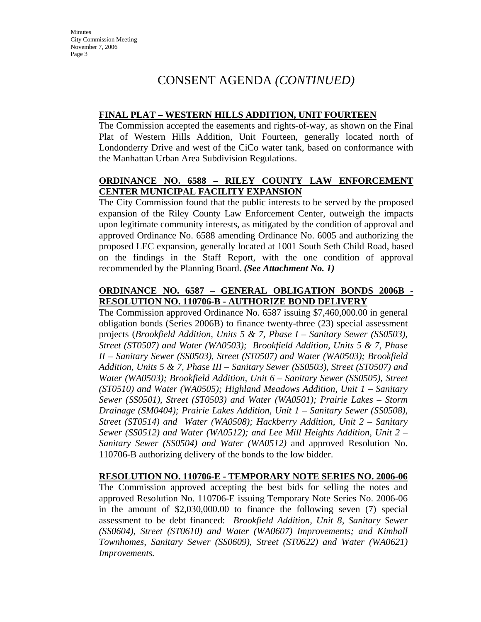# CONSENT AGENDA *(CONTINUED)*

### **FINAL PLAT – WESTERN HILLS ADDITION, UNIT FOURTEEN**

The Commission accepted the easements and rights-of-way, as shown on the Final Plat of Western Hills Addition, Unit Fourteen, generally located north of Londonderry Drive and west of the CiCo water tank, based on conformance with the Manhattan Urban Area Subdivision Regulations.

## **ORDINANCE NO. 6588 – RILEY COUNTY LAW ENFORCEMENT CENTER MUNICIPAL FACILITY EXPANSION**

The City Commission found that the public interests to be served by the proposed expansion of the Riley County Law Enforcement Center, outweigh the impacts upon legitimate community interests, as mitigated by the condition of approval and approved Ordinance No. 6588 amending Ordinance No. 6005 and authorizing the proposed LEC expansion, generally located at 1001 South Seth Child Road, based on the findings in the Staff Report, with the one condition of approval recommended by the Planning Board. *(See Attachment No. 1)* 

## **ORDINANCE NO. 6587 – GENERAL OBLIGATION BONDS 2006B - RESOLUTION NO. 110706-B - AUTHORIZE BOND DELIVERY**

The Commission approved Ordinance No. 6587 issuing \$7,460,000.00 in general obligation bonds (Series 2006B) to finance twenty-three (23) special assessment projects (*Brookfield Addition, Units 5 & 7, Phase I – Sanitary Sewer (SS0503), Street (ST0507) and Water (WA0503); Brookfield Addition, Units 5 & 7, Phase II – Sanitary Sewer (SS0503), Street (ST0507) and Water (WA0503); Brookfield Addition, Units 5 & 7, Phase III – Sanitary Sewer (SS0503), Street (ST0507) and Water (WA0503); Brookfield Addition, Unit 6 – Sanitary Sewer (SS0505), Street (ST0510) and Water (WA0505); Highland Meadows Addition, Unit 1 – Sanitary Sewer (SS0501), Street (ST0503) and Water (WA0501); Prairie Lakes – Storm Drainage (SM0404); Prairie Lakes Addition, Unit 1 – Sanitary Sewer (SS0508), Street (ST0514) and Water (WA0508); Hackberry Addition, Unit 2 – Sanitary Sewer (SS0512) and Water (WA0512); and Lee Mill Heights Addition, Unit 2 – Sanitary Sewer (SS0504) and Water (WA0512)* and approved Resolution No. 110706-B authorizing delivery of the bonds to the low bidder.

#### **RESOLUTION NO. 110706-E - TEMPORARY NOTE SERIES NO. 2006-06**

The Commission approved accepting the best bids for selling the notes and approved Resolution No. 110706-E issuing Temporary Note Series No. 2006-06 in the amount of \$2,030,000.00 to finance the following seven (7) special assessment to be debt financed: *Brookfield Addition, Unit 8, Sanitary Sewer (SS0604), Street (ST0610) and Water (WA0607) Improvements; and Kimball Townhomes, Sanitary Sewer (SS0609), Street (ST0622) and Water (WA0621) Improvements.*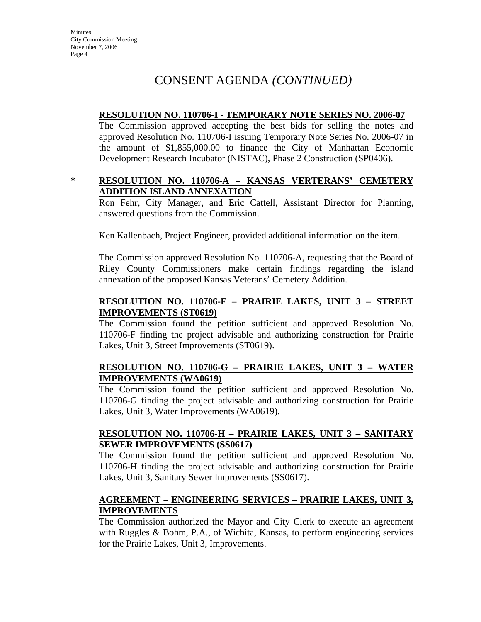# CONSENT AGENDA *(CONTINUED)*

#### **RESOLUTION NO. 110706-I - TEMPORARY NOTE SERIES NO. 2006-07**

The Commission approved accepting the best bids for selling the notes and approved Resolution No. 110706-I issuing Temporary Note Series No. 2006-07 in the amount of \$1,855,000.00 to finance the City of Manhattan Economic Development Research Incubator (NISTAC), Phase 2 Construction (SP0406).

#### **\* RESOLUTION NO. 110706-A – KANSAS VERTERANS' CEMETERY ADDITION ISLAND ANNEXATION**

Ron Fehr, City Manager, and Eric Cattell, Assistant Director for Planning, answered questions from the Commission.

Ken Kallenbach, Project Engineer, provided additional information on the item.

The Commission approved Resolution No. 110706-A, requesting that the Board of Riley County Commissioners make certain findings regarding the island annexation of the proposed Kansas Veterans' Cemetery Addition.

## **RESOLUTION NO. 110706-F – PRAIRIE LAKES, UNIT 3 – STREET IMPROVEMENTS (ST0619)**

The Commission found the petition sufficient and approved Resolution No. 110706-F finding the project advisable and authorizing construction for Prairie Lakes, Unit 3, Street Improvements (ST0619).

## **RESOLUTION NO. 110706-G – PRAIRIE LAKES, UNIT 3 – WATER IMPROVEMENTS (WA0619)**

The Commission found the petition sufficient and approved Resolution No. 110706-G finding the project advisable and authorizing construction for Prairie Lakes, Unit 3, Water Improvements (WA0619).

## **RESOLUTION NO. 110706-H – PRAIRIE LAKES, UNIT 3 – SANITARY SEWER IMPROVEMENTS (SS0617)**

The Commission found the petition sufficient and approved Resolution No. 110706-H finding the project advisable and authorizing construction for Prairie Lakes, Unit 3, Sanitary Sewer Improvements (SS0617).

## **AGREEMENT – ENGINEERING SERVICES – PRAIRIE LAKES, UNIT 3, IMPROVEMENTS**

The Commission authorized the Mayor and City Clerk to execute an agreement with Ruggles & Bohm, P.A., of Wichita, Kansas, to perform engineering services for the Prairie Lakes, Unit 3, Improvements.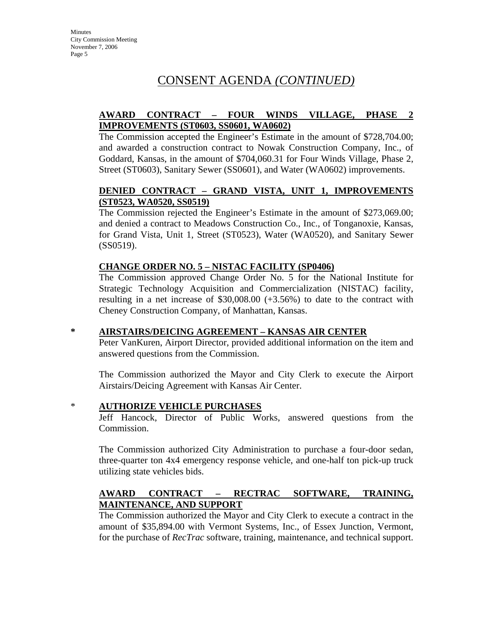# CONSENT AGENDA *(CONTINUED)*

## **AWARD CONTRACT – FOUR WINDS VILLAGE, PHASE 2 IMPROVEMENTS (ST0603, SS0601, WA0602)**

The Commission accepted the Engineer's Estimate in the amount of \$728,704.00; and awarded a construction contract to Nowak Construction Company, Inc., of Goddard, Kansas, in the amount of \$704,060.31 for Four Winds Village, Phase 2, Street (ST0603), Sanitary Sewer (SS0601), and Water (WA0602) improvements.

## **DENIED CONTRACT – GRAND VISTA, UNIT 1, IMPROVEMENTS (ST0523, WA0520, SS0519)**

The Commission rejected the Engineer's Estimate in the amount of \$273,069.00; and denied a contract to Meadows Construction Co., Inc., of Tonganoxie, Kansas, for Grand Vista, Unit 1, Street (ST0523), Water (WA0520), and Sanitary Sewer (SS0519).

## **CHANGE ORDER NO. 5 – NISTAC FACILITY (SP0406)**

The Commission approved Change Order No. 5 for the National Institute for Strategic Technology Acquisition and Commercialization (NISTAC) facility, resulting in a net increase of \$30,008.00 (+3.56%) to date to the contract with Cheney Construction Company, of Manhattan, Kansas.

#### **\* AIRSTAIRS/DEICING AGREEMENT – KANSAS AIR CENTER**

Peter VanKuren, Airport Director, provided additional information on the item and answered questions from the Commission.

The Commission authorized the Mayor and City Clerk to execute the Airport Airstairs/Deicing Agreement with Kansas Air Center.

## \* **AUTHORIZE VEHICLE PURCHASES**

Jeff Hancock, Director of Public Works, answered questions from the Commission.

The Commission authorized City Administration to purchase a four-door sedan, three-quarter ton 4x4 emergency response vehicle, and one-half ton pick-up truck utilizing state vehicles bids.

## **AWARD CONTRACT – RECTRAC SOFTWARE, TRAINING, MAINTENANCE, AND SUPPORT**

The Commission authorized the Mayor and City Clerk to execute a contract in the amount of \$35,894.00 with Vermont Systems, Inc., of Essex Junction, Vermont, for the purchase of *RecTrac* software, training, maintenance, and technical support.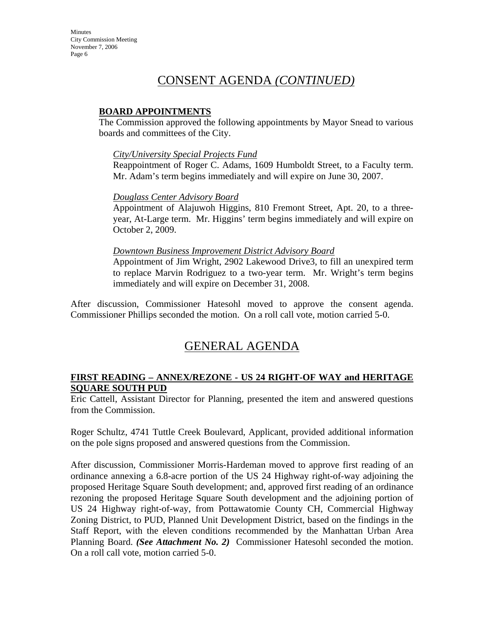# CONSENT AGENDA *(CONTINUED)*

### **BOARD APPOINTMENTS**

The Commission approved the following appointments by Mayor Snead to various boards and committees of the City.

#### *City/University Special Projects Fund*

Reappointment of Roger C. Adams, 1609 Humboldt Street, to a Faculty term. Mr. Adam's term begins immediately and will expire on June 30, 2007.

#### *Douglass Center Advisory Board*

Appointment of Alajuwoh Higgins, 810 Fremont Street, Apt. 20, to a threeyear, At-Large term. Mr. Higgins' term begins immediately and will expire on October 2, 2009.

#### *Downtown Business Improvement District Advisory Board*

Appointment of Jim Wright, 2902 Lakewood Drive3, to fill an unexpired term to replace Marvin Rodriguez to a two-year term. Mr. Wright's term begins immediately and will expire on December 31, 2008.

After discussion, Commissioner Hatesohl moved to approve the consent agenda. Commissioner Phillips seconded the motion. On a roll call vote, motion carried 5-0.

## GENERAL AGENDA

#### **FIRST READING – ANNEX/REZONE - US 24 RIGHT-OF WAY and HERITAGE SQUARE SOUTH PUD**

Eric Cattell, Assistant Director for Planning, presented the item and answered questions from the Commission.

Roger Schultz, 4741 Tuttle Creek Boulevard, Applicant, provided additional information on the pole signs proposed and answered questions from the Commission.

After discussion, Commissioner Morris-Hardeman moved to approve first reading of an ordinance annexing a 6.8-acre portion of the US 24 Highway right-of-way adjoining the proposed Heritage Square South development; and, approved first reading of an ordinance rezoning the proposed Heritage Square South development and the adjoining portion of US 24 Highway right-of-way, from Pottawatomie County CH, Commercial Highway Zoning District, to PUD, Planned Unit Development District, based on the findings in the Staff Report, with the eleven conditions recommended by the Manhattan Urban Area Planning Board. *(See Attachment No. 2)* Commissioner Hatesohl seconded the motion. On a roll call vote, motion carried 5-0.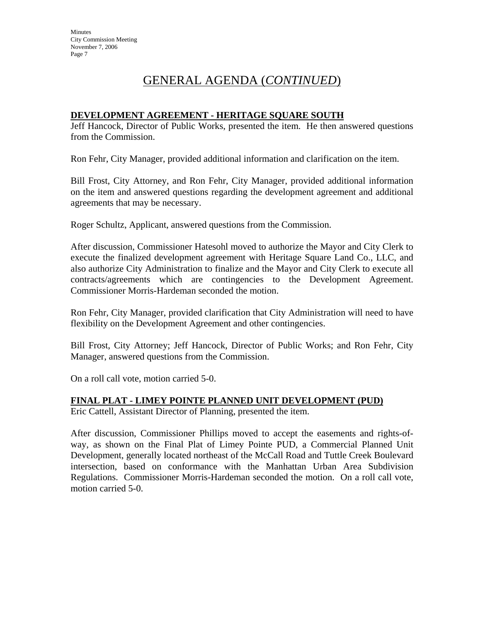# GENERAL AGENDA (*CONTINUED*)

## **DEVELOPMENT AGREEMENT - HERITAGE SQUARE SOUTH**

Jeff Hancock, Director of Public Works, presented the item. He then answered questions from the Commission.

Ron Fehr, City Manager, provided additional information and clarification on the item.

Bill Frost, City Attorney, and Ron Fehr, City Manager, provided additional information on the item and answered questions regarding the development agreement and additional agreements that may be necessary.

Roger Schultz, Applicant, answered questions from the Commission.

After discussion, Commissioner Hatesohl moved to authorize the Mayor and City Clerk to execute the finalized development agreement with Heritage Square Land Co., LLC, and also authorize City Administration to finalize and the Mayor and City Clerk to execute all contracts/agreements which are contingencies to the Development Agreement. Commissioner Morris-Hardeman seconded the motion.

Ron Fehr, City Manager, provided clarification that City Administration will need to have flexibility on the Development Agreement and other contingencies.

Bill Frost, City Attorney; Jeff Hancock, Director of Public Works; and Ron Fehr, City Manager, answered questions from the Commission.

On a roll call vote, motion carried 5-0.

## **FINAL PLAT - LIMEY POINTE PLANNED UNIT DEVELOPMENT (PUD)**

Eric Cattell, Assistant Director of Planning, presented the item.

After discussion, Commissioner Phillips moved to accept the easements and rights-ofway, as shown on the Final Plat of Limey Pointe PUD, a Commercial Planned Unit Development, generally located northeast of the McCall Road and Tuttle Creek Boulevard intersection, based on conformance with the Manhattan Urban Area Subdivision Regulations. Commissioner Morris-Hardeman seconded the motion. On a roll call vote, motion carried 5-0.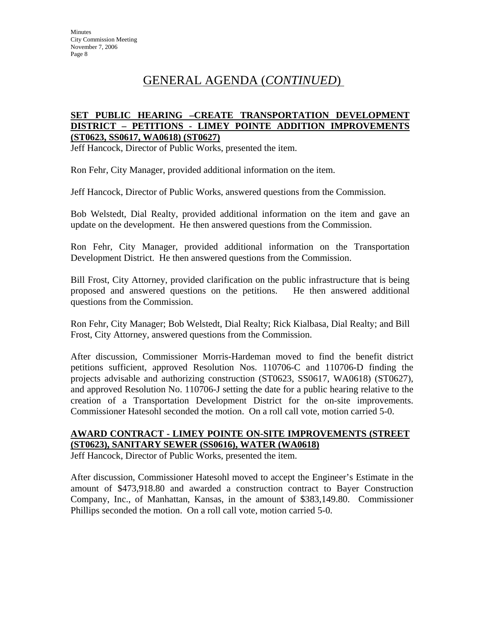# GENERAL AGENDA (*CONTINUED*)

#### **SET PUBLIC HEARING –CREATE TRANSPORTATION DEVELOPMENT DISTRICT – PETITIONS - LIMEY POINTE ADDITION IMPROVEMENTS (ST0623, SS0617, WA0618) (ST0627)**

Jeff Hancock, Director of Public Works, presented the item.

Ron Fehr, City Manager, provided additional information on the item.

Jeff Hancock, Director of Public Works, answered questions from the Commission.

Bob Welstedt, Dial Realty, provided additional information on the item and gave an update on the development. He then answered questions from the Commission.

Ron Fehr, City Manager, provided additional information on the Transportation Development District. He then answered questions from the Commission.

Bill Frost, City Attorney, provided clarification on the public infrastructure that is being proposed and answered questions on the petitions. He then answered additional questions from the Commission.

Ron Fehr, City Manager; Bob Welstedt, Dial Realty; Rick Kialbasa, Dial Realty; and Bill Frost, City Attorney, answered questions from the Commission.

After discussion, Commissioner Morris-Hardeman moved to find the benefit district petitions sufficient, approved Resolution Nos. 110706-C and 110706-D finding the projects advisable and authorizing construction (ST0623, SS0617, WA0618) (ST0627), and approved Resolution No. 110706-J setting the date for a public hearing relative to the creation of a Transportation Development District for the on-site improvements. Commissioner Hatesohl seconded the motion. On a roll call vote, motion carried 5-0.

## **AWARD CONTRACT - LIMEY POINTE ON-SITE IMPROVEMENTS (STREET (ST0623), SANITARY SEWER (SS0616), WATER (WA0618)**

Jeff Hancock, Director of Public Works, presented the item.

After discussion, Commissioner Hatesohl moved to accept the Engineer's Estimate in the amount of \$473,918.80 and awarded a construction contract to Bayer Construction Company, Inc., of Manhattan, Kansas, in the amount of \$383,149.80. Commissioner Phillips seconded the motion. On a roll call vote, motion carried 5-0.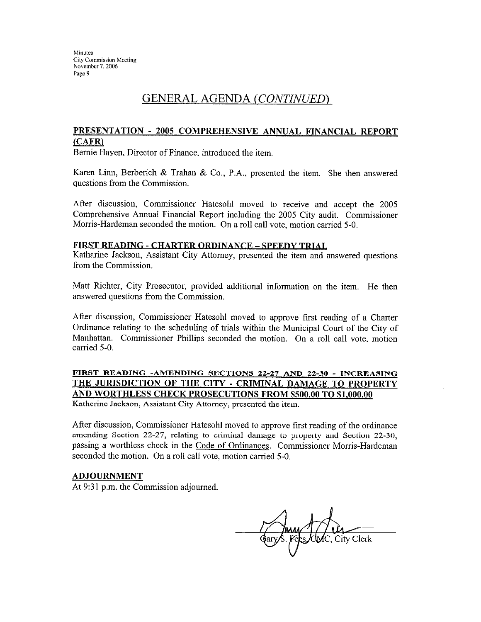## GENERAL AGENDA (CONTINUED)

#### PRESENTATION - 2005 COMPREHENSIVE ANNUAL FINANCIAL REPORT  $(CAFR)$

Bernie Hayen, Director of Finance, introduced the item.

Karen Linn, Berberich & Trahan & Co., P.A., presented the item. She then answered questions from the Commission.

After discussion, Commissioner Hatesohl moved to receive and accept the 2005 Comprehensive Annual Financial Report including the 2005 City audit. Commissioner Morris-Hardeman seconded the motion. On a roll call vote, motion carried 5-0.

#### **FIRST READING - CHARTER ORDINANCE - SPEEDY TRIAL**

Katharine Jackson, Assistant City Attorney, presented the item and answered questions from the Commission.

Matt Richter, City Prosecutor, provided additional information on the item. He then answered questions from the Commission.

After discussion, Commissioner Hatesohl moved to approve first reading of a Charter Ordinance relating to the scheduling of trials within the Municipal Court of the City of Manhattan. Commissioner Phillips seconded the motion. On a roll call vote, motion carried 5-0.

## FIRST READING -AMENDING SECTIONS 22-27 AND 22-30 - INCREASING THE JURISDICTION OF THE CITY - CRIMINAL DAMAGE TO PROPERTY AND WORTHLESS CHECK PROSECUTIONS FROM \$500.00 TO \$1,000.00

Katherine Jackson, Assistant City Attorney, presented the item.

After discussion, Commissioner Hatesohl moved to approve first reading of the ordinance amending Section 22-27, relating to criminal damage to property and Section 22-30, passing a worthless check in the Code of Ordinances. Commissioner Morris-Hardeman seconded the motion. On a roll call vote, motion carried 5-0.

#### **ADJOURNMENT**

At 9:31 p.m. the Commission adjourned.

City Clerk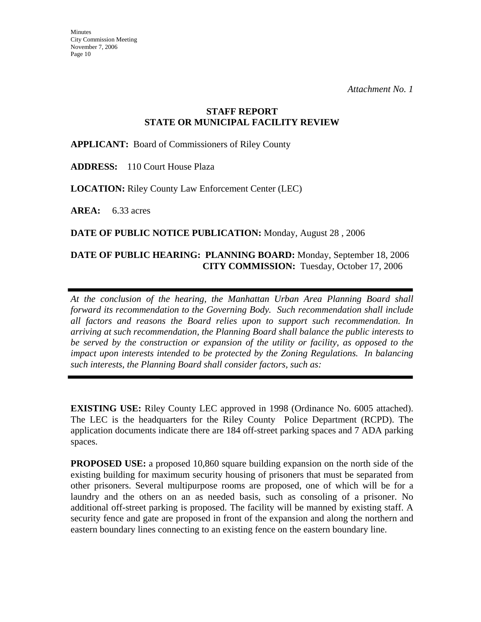## **STAFF REPORT STATE OR MUNICIPAL FACILITY REVIEW**

**APPLICANT:** Board of Commissioners of Riley County

**ADDRESS:** 110 Court House Plaza

**LOCATION:** Riley County Law Enforcement Center (LEC)

**AREA:** 6.33 acres

**DATE OF PUBLIC NOTICE PUBLICATION:** Monday, August 28 , 2006

## **DATE OF PUBLIC HEARING: PLANNING BOARD:** Monday, September 18, 2006 **CITY COMMISSION:** Tuesday, October 17, 2006

*At the conclusion of the hearing, the Manhattan Urban Area Planning Board shall forward its recommendation to the Governing Body. Such recommendation shall include all factors and reasons the Board relies upon to support such recommendation. In arriving at such recommendation, the Planning Board shall balance the public interests to be served by the construction or expansion of the utility or facility, as opposed to the impact upon interests intended to be protected by the Zoning Regulations. In balancing such interests, the Planning Board shall consider factors, such as:* 

**EXISTING USE:** Riley County LEC approved in 1998 (Ordinance No. 6005 attached). The LEC is the headquarters for the Riley County Police Department (RCPD). The application documents indicate there are 184 off-street parking spaces and 7 ADA parking spaces.

**PROPOSED USE:** a proposed 10,860 square building expansion on the north side of the existing building for maximum security housing of prisoners that must be separated from other prisoners. Several multipurpose rooms are proposed, one of which will be for a laundry and the others on an as needed basis, such as consoling of a prisoner. No additional off-street parking is proposed. The facility will be manned by existing staff. A security fence and gate are proposed in front of the expansion and along the northern and eastern boundary lines connecting to an existing fence on the eastern boundary line.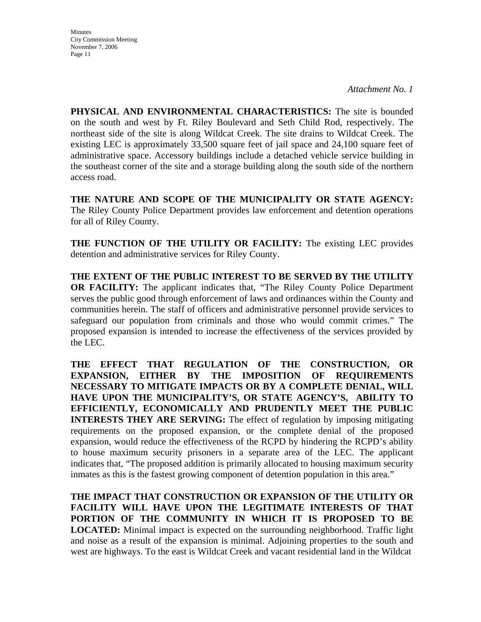*Attachment No. 1* 

**PHYSICAL AND ENVIRONMENTAL CHARACTERISTICS:** The site is bounded on the south and west by Ft. Riley Boulevard and Seth Child Rod, respectively. The northeast side of the site is along Wildcat Creek. The site drains to Wildcat Creek. The existing LEC is approximately 33,500 square feet of jail space and 24,100 square feet of administrative space. Accessory buildings include a detached vehicle service building in the southeast corner of the site and a storage building along the south side of the northern access road.

**THE NATURE AND SCOPE OF THE MUNICIPALITY OR STATE AGENCY:**  The Riley County Police Department provides law enforcement and detention operations for all of Riley County.

**THE FUNCTION OF THE UTILITY OR FACILITY:** The existing LEC provides detention and administrative services for Riley County.

**THE EXTENT OF THE PUBLIC INTEREST TO BE SERVED BY THE UTILITY OR FACILITY:** The applicant indicates that, "The Riley County Police Department serves the public good through enforcement of laws and ordinances within the County and communities herein. The staff of officers and administrative personnel provide services to safeguard our population from criminals and those who would commit crimes." The proposed expansion is intended to increase the effectiveness of the services provided by the LEC.

**THE EFFECT THAT REGULATION OF THE CONSTRUCTION, OR EXPANSION, EITHER BY THE IMPOSITION OF REQUIREMENTS NECESSARY TO MITIGATE IMPACTS OR BY A COMPLETE DENIAL, WILL HAVE UPON THE MUNICIPALITY'S, OR STATE AGENCY'S, ABILITY TO EFFICIENTLY, ECONOMICALLY AND PRUDENTLY MEET THE PUBLIC INTERESTS THEY ARE SERVING:** The effect of regulation by imposing mitigating requirements on the proposed expansion, or the complete denial of the proposed expansion, would reduce the effectiveness of the RCPD by hindering the RCPD's ability to house maximum security prisoners in a separate area of the LEC. The applicant indicates that, "The proposed addition is primarily allocated to housing maximum security inmates as this is the fastest growing component of detention population in this area."

**THE IMPACT THAT CONSTRUCTION OR EXPANSION OF THE UTILITY OR FACILITY WILL HAVE UPON THE LEGITIMATE INTERESTS OF THAT PORTION OF THE COMMUNITY IN WHICH IT IS PROPOSED TO BE LOCATED:** Minimal impact is expected on the surrounding neighborhood. Traffic light and noise as a result of the expansion is minimal. Adjoining properties to the south and west are highways. To the east is Wildcat Creek and vacant residential land in the Wildcat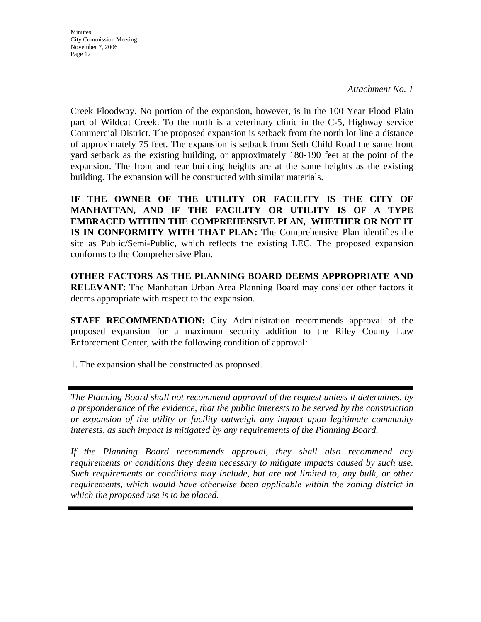**Minutes** City Commission Meeting November 7, 2006 Page 12

Creek Floodway. No portion of the expansion, however, is in the 100 Year Flood Plain part of Wildcat Creek. To the north is a veterinary clinic in the C-5, Highway service Commercial District. The proposed expansion is setback from the north lot line a distance of approximately 75 feet. The expansion is setback from Seth Child Road the same front yard setback as the existing building, or approximately 180-190 feet at the point of the expansion. The front and rear building heights are at the same heights as the existing building. The expansion will be constructed with similar materials.

**IF THE OWNER OF THE UTILITY OR FACILITY IS THE CITY OF MANHATTAN, AND IF THE FACILITY OR UTILITY IS OF A TYPE EMBRACED WITHIN THE COMPREHENSIVE PLAN, WHETHER OR NOT IT IS IN CONFORMITY WITH THAT PLAN:** The Comprehensive Plan identifies the site as Public/Semi-Public, which reflects the existing LEC. The proposed expansion conforms to the Comprehensive Plan.

**OTHER FACTORS AS THE PLANNING BOARD DEEMS APPROPRIATE AND RELEVANT:** The Manhattan Urban Area Planning Board may consider other factors it deems appropriate with respect to the expansion.

**STAFF RECOMMENDATION:** City Administration recommends approval of the proposed expansion for a maximum security addition to the Riley County Law Enforcement Center, with the following condition of approval:

1. The expansion shall be constructed as proposed.

*The Planning Board shall not recommend approval of the request unless it determines, by a preponderance of the evidence, that the public interests to be served by the construction or expansion of the utility or facility outweigh any impact upon legitimate community interests, as such impact is mitigated by any requirements of the Planning Board.* 

*If the Planning Board recommends approval, they shall also recommend any requirements or conditions they deem necessary to mitigate impacts caused by such use. Such requirements or conditions may include, but are not limited to, any bulk, or other requirements, which would have otherwise been applicable within the zoning district in which the proposed use is to be placed.*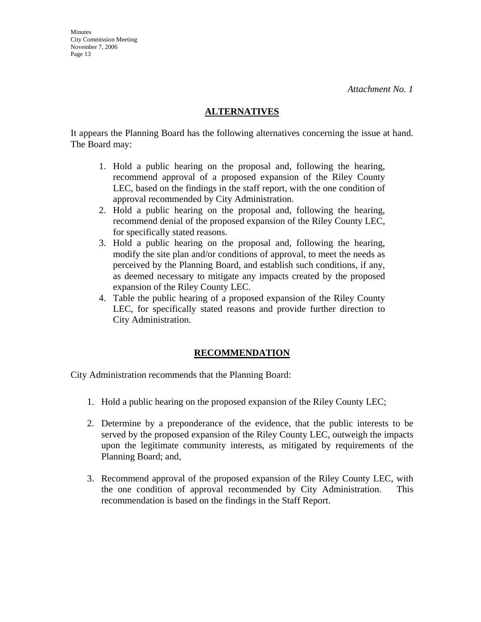#### **ALTERNATIVES**

It appears the Planning Board has the following alternatives concerning the issue at hand. The Board may:

- 1. Hold a public hearing on the proposal and, following the hearing, recommend approval of a proposed expansion of the Riley County LEC, based on the findings in the staff report, with the one condition of approval recommended by City Administration.
- 2. Hold a public hearing on the proposal and, following the hearing, recommend denial of the proposed expansion of the Riley County LEC, for specifically stated reasons.
- 3. Hold a public hearing on the proposal and, following the hearing, modify the site plan and/or conditions of approval, to meet the needs as perceived by the Planning Board, and establish such conditions, if any, as deemed necessary to mitigate any impacts created by the proposed expansion of the Riley County LEC.
- 4. Table the public hearing of a proposed expansion of the Riley County LEC, for specifically stated reasons and provide further direction to City Administration.

## **RECOMMENDATION**

City Administration recommends that the Planning Board:

- 1. Hold a public hearing on the proposed expansion of the Riley County LEC;
- 2. Determine by a preponderance of the evidence, that the public interests to be served by the proposed expansion of the Riley County LEC, outweigh the impacts upon the legitimate community interests, as mitigated by requirements of the Planning Board; and,
- 3. Recommend approval of the proposed expansion of the Riley County LEC, with the one condition of approval recommended by City Administration. This recommendation is based on the findings in the Staff Report.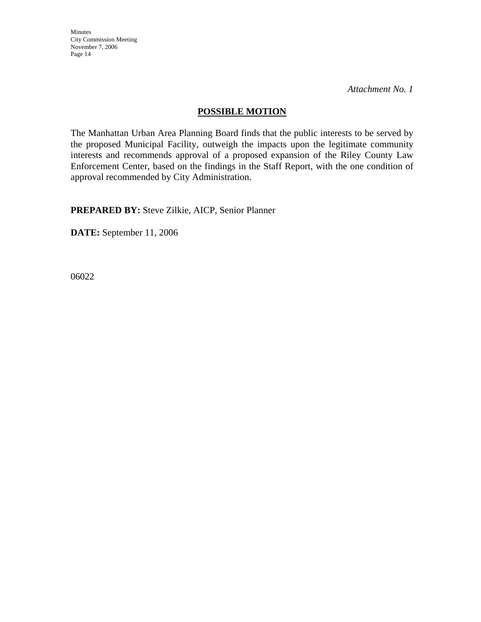*Attachment No. 1* 

### **POSSIBLE MOTION**

The Manhattan Urban Area Planning Board finds that the public interests to be served by the proposed Municipal Facility, outweigh the impacts upon the legitimate community interests and recommends approval of a proposed expansion of the Riley County Law Enforcement Center, based on the findings in the Staff Report, with the one condition of approval recommended by City Administration.

**PREPARED BY:** Steve Zilkie, AICP, Senior Planner

**DATE:** September 11, 2006

06022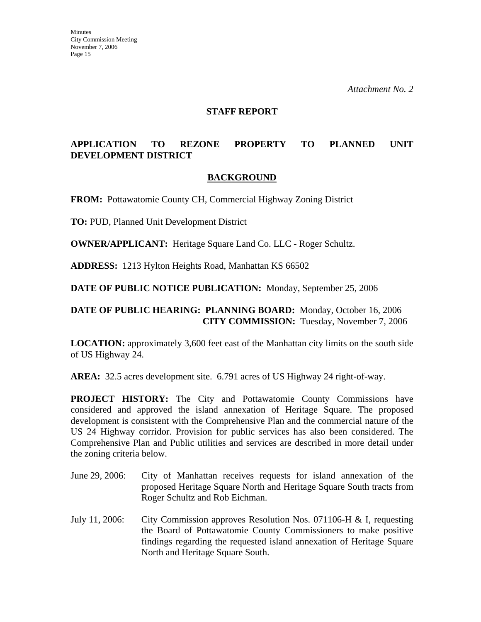*Attachment No. 2* 

#### **STAFF REPORT**

## **APPLICATION TO REZONE PROPERTY TO PLANNED UNIT DEVELOPMENT DISTRICT**

#### **BACKGROUND**

**FROM:** Pottawatomie County CH, Commercial Highway Zoning District

**TO:** PUD, Planned Unit Development District

**OWNER/APPLICANT:** Heritage Square Land Co. LLC - Roger Schultz.

**ADDRESS:** 1213 Hylton Heights Road, Manhattan KS 66502

**DATE OF PUBLIC NOTICE PUBLICATION:** Monday, September 25, 2006

#### **DATE OF PUBLIC HEARING: PLANNING BOARD:** Monday, October 16, 2006 **CITY COMMISSION:** Tuesday, November 7, 2006

**LOCATION:** approximately 3,600 feet east of the Manhattan city limits on the south side of US Highway 24.

**AREA:** 32.5 acres development site. 6.791 acres of US Highway 24 right-of-way.

**PROJECT HISTORY:** The City and Pottawatomie County Commissions have considered and approved the island annexation of Heritage Square. The proposed development is consistent with the Comprehensive Plan and the commercial nature of the US 24 Highway corridor. Provision for public services has also been considered. The Comprehensive Plan and Public utilities and services are described in more detail under the zoning criteria below.

- June 29, 2006: City of Manhattan receives requests for island annexation of the proposed Heritage Square North and Heritage Square South tracts from Roger Schultz and Rob Eichman.
- July 11, 2006: City Commission approves Resolution Nos. 071106-H & I, requesting the Board of Pottawatomie County Commissioners to make positive findings regarding the requested island annexation of Heritage Square North and Heritage Square South.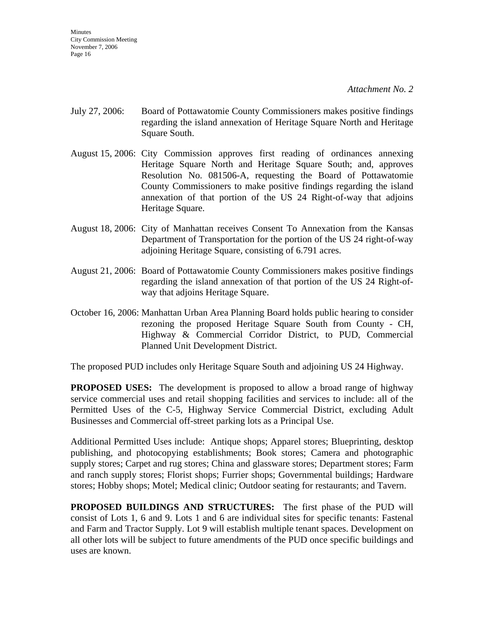- July 27, 2006: Board of Pottawatomie County Commissioners makes positive findings regarding the island annexation of Heritage Square North and Heritage Square South.
- August 15, 2006: City Commission approves first reading of ordinances annexing Heritage Square North and Heritage Square South; and, approves Resolution No. 081506-A, requesting the Board of Pottawatomie County Commissioners to make positive findings regarding the island annexation of that portion of the US 24 Right-of-way that adjoins Heritage Square.
- August 18, 2006: City of Manhattan receives Consent To Annexation from the Kansas Department of Transportation for the portion of the US 24 right-of-way adjoining Heritage Square, consisting of 6.791 acres.
- August 21, 2006: Board of Pottawatomie County Commissioners makes positive findings regarding the island annexation of that portion of the US 24 Right-ofway that adjoins Heritage Square.
- October 16, 2006: Manhattan Urban Area Planning Board holds public hearing to consider rezoning the proposed Heritage Square South from County - CH, Highway & Commercial Corridor District, to PUD, Commercial Planned Unit Development District.

The proposed PUD includes only Heritage Square South and adjoining US 24 Highway.

**PROPOSED USES:** The development is proposed to allow a broad range of highway service commercial uses and retail shopping facilities and services to include: all of the Permitted Uses of the C-5, Highway Service Commercial District, excluding Adult Businesses and Commercial off-street parking lots as a Principal Use.

Additional Permitted Uses include: Antique shops; Apparel stores; Blueprinting, desktop publishing, and photocopying establishments; Book stores; Camera and photographic supply stores; Carpet and rug stores; China and glassware stores; Department stores; Farm and ranch supply stores; Florist shops; Furrier shops; Governmental buildings; Hardware stores; Hobby shops; Motel; Medical clinic; Outdoor seating for restaurants; and Tavern.

**PROPOSED BUILDINGS AND STRUCTURES:** The first phase of the PUD will consist of Lots 1, 6 and 9. Lots 1 and 6 are individual sites for specific tenants: Fastenal and Farm and Tractor Supply. Lot 9 will establish multiple tenant spaces. Development on all other lots will be subject to future amendments of the PUD once specific buildings and uses are known.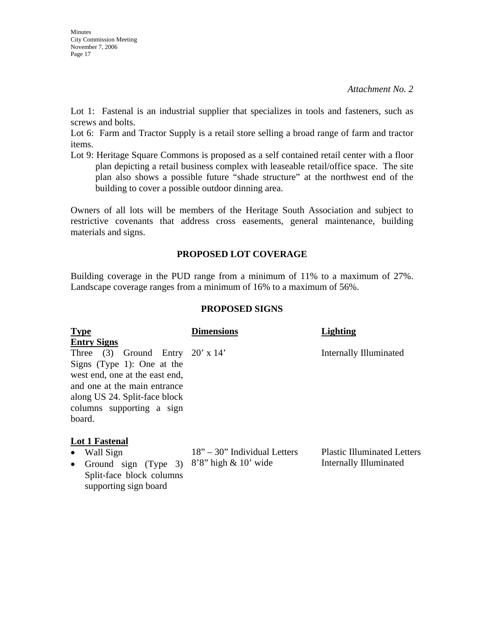Lot 1: Fastenal is an industrial supplier that specializes in tools and fasteners, such as screws and bolts.

Lot 6: Farm and Tractor Supply is a retail store selling a broad range of farm and tractor items.

Lot 9: Heritage Square Commons is proposed as a self contained retail center with a floor plan depicting a retail business complex with leaseable retail/office space. The site plan also shows a possible future "shade structure" at the northwest end of the building to cover a possible outdoor dinning area.

Owners of all lots will be members of the Heritage South Association and subject to restrictive covenants that address cross easements, general maintenance, building materials and signs.

## **PROPOSED LOT COVERAGE**

Building coverage in the PUD range from a minimum of 11% to a maximum of 27%. Landscape coverage ranges from a minimum of 16% to a maximum of 56%.

#### **PROPOSED SIGNS**

| <b>Type</b>                                                                                                                                                                                                       | <b>Dimensions</b> | Lighting                      |
|-------------------------------------------------------------------------------------------------------------------------------------------------------------------------------------------------------------------|-------------------|-------------------------------|
| <b>Entry Signs</b>                                                                                                                                                                                                |                   |                               |
| Three $(3)$ Ground Entry $20' \times 14'$<br>Signs (Type 1): One at the<br>west end, one at the east end,<br>and one at the main entrance<br>along US 24. Split-face block<br>columns supporting a sign<br>board. |                   | <b>Internally Illuminated</b> |
| <b>Lot 1 Fastenal</b>                                                                                                                                                                                             |                   |                               |

- Wall Sign
- Ground sign (Type 3)  $8'8''$  high & 10' wide Split-face block columns supporting sign board

18" – 30" Individual Letters

Plastic Illuminated Letters Internally Illuminated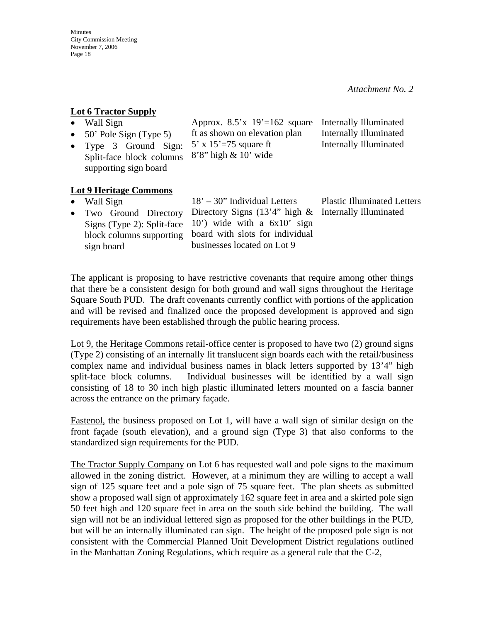## **Lot 6 Tractor Supply**

block columns supporting

sign board

| Lot o Tractor Bupply                                                       |                                                          |                                    |
|----------------------------------------------------------------------------|----------------------------------------------------------|------------------------------------|
| Wall Sign                                                                  | Approx. $8.5'x$ 19'=162 square                           | Internally Illuminated             |
| 50' Pole Sign (Type 5)                                                     | ft as shown on elevation plan                            | <b>Internally Illuminated</b>      |
| • Type 3 Ground Sign:<br>Split-face block columns<br>supporting sign board | 5' x $15'$ =75 square ft<br>$8'8''$ high $\& 10'$ wide   | <b>Internally Illuminated</b>      |
| <b>Lot 9 Heritage Commons</b>                                              |                                                          |                                    |
| Wall Sign                                                                  | $18' - 30''$ Individual Letters                          | <b>Plastic Illuminated Letters</b> |
| • Two Ground Directory                                                     | Directory Signs $(13'4'')$ high & Internally Illuminated |                                    |
| Signs (Type 2): Split-face                                                 | $10'$ ) wide with a $6x10'$ sign                         |                                    |

The applicant is proposing to have restrictive covenants that require among other things that there be a consistent design for both ground and wall signs throughout the Heritage Square South PUD. The draft covenants currently conflict with portions of the application and will be revised and finalized once the proposed development is approved and sign requirements have been established through the public hearing process.

board with slots for individual businesses located on Lot 9

Lot 9, the Heritage Commons retail-office center is proposed to have two (2) ground signs (Type 2) consisting of an internally lit translucent sign boards each with the retail/business complex name and individual business names in black letters supported by 13'4" high split-face block columns. Individual businesses will be identified by a wall sign consisting of 18 to 30 inch high plastic illuminated letters mounted on a fascia banner across the entrance on the primary façade.

Fastenol, the business proposed on Lot 1, will have a wall sign of similar design on the front façade (south elevation), and a ground sign (Type 3) that also conforms to the standardized sign requirements for the PUD.

The Tractor Supply Company on Lot 6 has requested wall and pole signs to the maximum allowed in the zoning district. However, at a minimum they are willing to accept a wall sign of 125 square feet and a pole sign of 75 square feet. The plan sheets as submitted show a proposed wall sign of approximately 162 square feet in area and a skirted pole sign 50 feet high and 120 square feet in area on the south side behind the building. The wall sign will not be an individual lettered sign as proposed for the other buildings in the PUD, but will be an internally illuminated can sign. The height of the proposed pole sign is not consistent with the Commercial Planned Unit Development District regulations outlined in the Manhattan Zoning Regulations, which require as a general rule that the C-2,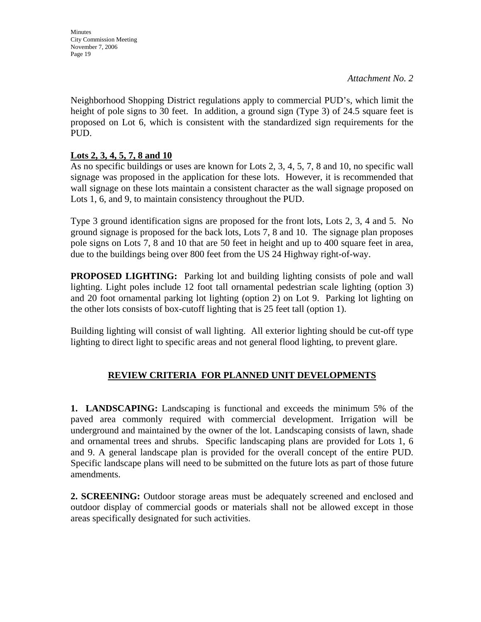*Attachment No. 2* 

Neighborhood Shopping District regulations apply to commercial PUD's, which limit the height of pole signs to 30 feet. In addition, a ground sign (Type 3) of 24.5 square feet is proposed on Lot 6, which is consistent with the standardized sign requirements for the PUD.

## **Lots 2, 3, 4, 5, 7, 8 and 10**

As no specific buildings or uses are known for Lots 2, 3, 4, 5, 7, 8 and 10, no specific wall signage was proposed in the application for these lots. However, it is recommended that wall signage on these lots maintain a consistent character as the wall signage proposed on Lots 1, 6, and 9, to maintain consistency throughout the PUD.

Type 3 ground identification signs are proposed for the front lots, Lots 2, 3, 4 and 5. No ground signage is proposed for the back lots, Lots 7, 8 and 10. The signage plan proposes pole signs on Lots 7, 8 and 10 that are 50 feet in height and up to 400 square feet in area, due to the buildings being over 800 feet from the US 24 Highway right-of-way.

**PROPOSED LIGHTING:** Parking lot and building lighting consists of pole and wall lighting. Light poles include 12 foot tall ornamental pedestrian scale lighting (option 3) and 20 foot ornamental parking lot lighting (option 2) on Lot 9. Parking lot lighting on the other lots consists of box-cutoff lighting that is 25 feet tall (option 1).

Building lighting will consist of wall lighting. All exterior lighting should be cut-off type lighting to direct light to specific areas and not general flood lighting, to prevent glare.

## **REVIEW CRITERIA FOR PLANNED UNIT DEVELOPMENTS**

**1. LANDSCAPING:** Landscaping is functional and exceeds the minimum 5% of the paved area commonly required with commercial development. Irrigation will be underground and maintained by the owner of the lot. Landscaping consists of lawn, shade and ornamental trees and shrubs. Specific landscaping plans are provided for Lots 1, 6 and 9. A general landscape plan is provided for the overall concept of the entire PUD. Specific landscape plans will need to be submitted on the future lots as part of those future amendments.

**2. SCREENING:** Outdoor storage areas must be adequately screened and enclosed and outdoor display of commercial goods or materials shall not be allowed except in those areas specifically designated for such activities.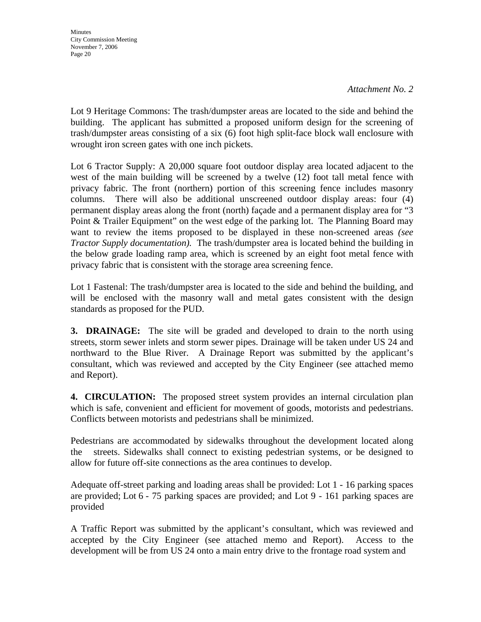Lot 9 Heritage Commons: The trash/dumpster areas are located to the side and behind the building. The applicant has submitted a proposed uniform design for the screening of trash/dumpster areas consisting of a six (6) foot high split-face block wall enclosure with wrought iron screen gates with one inch pickets.

Lot 6 Tractor Supply: A 20,000 square foot outdoor display area located adjacent to the west of the main building will be screened by a twelve (12) foot tall metal fence with privacy fabric. The front (northern) portion of this screening fence includes masonry columns. There will also be additional unscreened outdoor display areas: four (4) permanent display areas along the front (north) façade and a permanent display area for "3 Point & Trailer Equipment" on the west edge of the parking lot. The Planning Board may want to review the items proposed to be displayed in these non-screened areas *(see Tractor Supply documentation).* The trash/dumpster area is located behind the building in the below grade loading ramp area, which is screened by an eight foot metal fence with privacy fabric that is consistent with the storage area screening fence.

Lot 1 Fastenal: The trash/dumpster area is located to the side and behind the building, and will be enclosed with the masonry wall and metal gates consistent with the design standards as proposed for the PUD.

**3. DRAINAGE:** The site will be graded and developed to drain to the north using streets, storm sewer inlets and storm sewer pipes. Drainage will be taken under US 24 and northward to the Blue River. A Drainage Report was submitted by the applicant's consultant, which was reviewed and accepted by the City Engineer (see attached memo and Report).

**4. CIRCULATION:** The proposed street system provides an internal circulation plan which is safe, convenient and efficient for movement of goods, motorists and pedestrians. Conflicts between motorists and pedestrians shall be minimized.

Pedestrians are accommodated by sidewalks throughout the development located along the streets. Sidewalks shall connect to existing pedestrian systems, or be designed to allow for future off-site connections as the area continues to develop.

Adequate off-street parking and loading areas shall be provided: Lot 1 - 16 parking spaces are provided; Lot 6 - 75 parking spaces are provided; and Lot 9 - 161 parking spaces are provided

A Traffic Report was submitted by the applicant's consultant, which was reviewed and accepted by the City Engineer (see attached memo and Report). Access to the development will be from US 24 onto a main entry drive to the frontage road system and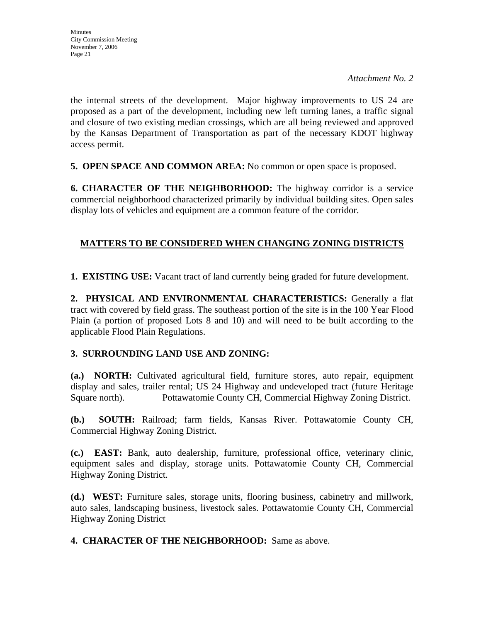the internal streets of the development. Major highway improvements to US 24 are proposed as a part of the development, including new left turning lanes, a traffic signal and closure of two existing median crossings, which are all being reviewed and approved by the Kansas Department of Transportation as part of the necessary KDOT highway access permit.

**5. OPEN SPACE AND COMMON AREA:** No common or open space is proposed.

**6. CHARACTER OF THE NEIGHBORHOOD:** The highway corridor is a service commercial neighborhood characterized primarily by individual building sites. Open sales display lots of vehicles and equipment are a common feature of the corridor.

## **MATTERS TO BE CONSIDERED WHEN CHANGING ZONING DISTRICTS**

**1. EXISTING USE:** Vacant tract of land currently being graded for future development.

**2. PHYSICAL AND ENVIRONMENTAL CHARACTERISTICS:** Generally a flat tract with covered by field grass. The southeast portion of the site is in the 100 Year Flood Plain (a portion of proposed Lots 8 and 10) and will need to be built according to the applicable Flood Plain Regulations.

## **3. SURROUNDING LAND USE AND ZONING:**

**(a.) NORTH:** Cultivated agricultural field, furniture stores, auto repair, equipment display and sales, trailer rental; US 24 Highway and undeveloped tract (future Heritage Square north).Pottawatomie County CH, Commercial Highway Zoning District.

**(b.) SOUTH:** Railroad; farm fields, Kansas River. Pottawatomie County CH, Commercial Highway Zoning District.

**(c.) EAST:** Bank, auto dealership, furniture, professional office, veterinary clinic, equipment sales and display, storage units. Pottawatomie County CH, Commercial Highway Zoning District.

**(d.) WEST:** Furniture sales, storage units, flooring business, cabinetry and millwork, auto sales, landscaping business, livestock sales. Pottawatomie County CH, Commercial Highway Zoning District

**4. CHARACTER OF THE NEIGHBORHOOD:** Same as above.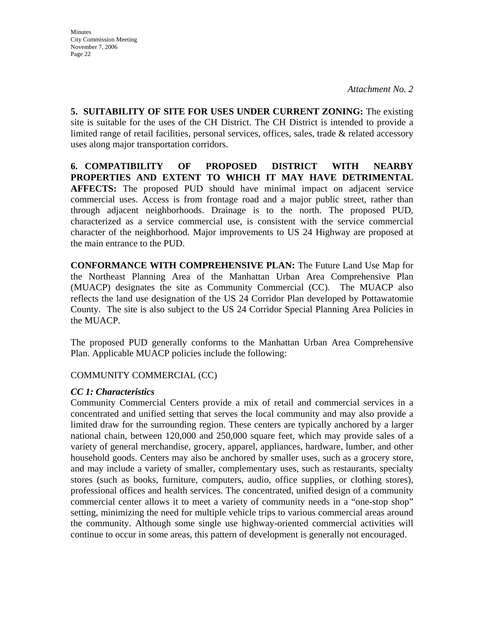**5. SUITABILITY OF SITE FOR USES UNDER CURRENT ZONING:** The existing site is suitable for the uses of the CH District. The CH District is intended to provide a limited range of retail facilities, personal services, offices, sales, trade & related accessory uses along major transportation corridors.

**6. COMPATIBILITY OF PROPOSED DISTRICT WITH NEARBY PROPERTIES AND EXTENT TO WHICH IT MAY HAVE DETRIMENTAL AFFECTS:** The proposed PUD should have minimal impact on adjacent service commercial uses. Access is from frontage road and a major public street, rather than through adjacent neighborhoods. Drainage is to the north. The proposed PUD, characterized as a service commercial use, is consistent with the service commercial character of the neighborhood. Major improvements to US 24 Highway are proposed at the main entrance to the PUD.

**CONFORMANCE WITH COMPREHENSIVE PLAN:** The Future Land Use Map for the Northeast Planning Area of the Manhattan Urban Area Comprehensive Plan (MUACP) designates the site as Community Commercial (CC). The MUACP also reflects the land use designation of the US 24 Corridor Plan developed by Pottawatomie County. The site is also subject to the US 24 Corridor Special Planning Area Policies in the MUACP.

The proposed PUD generally conforms to the Manhattan Urban Area Comprehensive Plan. Applicable MUACP policies include the following:

COMMUNITY COMMERCIAL (CC)

#### *CC 1: Characteristics*

Community Commercial Centers provide a mix of retail and commercial services in a concentrated and unified setting that serves the local community and may also provide a limited draw for the surrounding region. These centers are typically anchored by a larger national chain, between 120,000 and 250,000 square feet, which may provide sales of a variety of general merchandise, grocery, apparel, appliances, hardware, lumber, and other household goods. Centers may also be anchored by smaller uses, such as a grocery store, and may include a variety of smaller, complementary uses, such as restaurants, specialty stores (such as books, furniture, computers, audio, office supplies, or clothing stores), professional offices and health services. The concentrated, unified design of a community commercial center allows it to meet a variety of community needs in a "one-stop shop" setting, minimizing the need for multiple vehicle trips to various commercial areas around the community. Although some single use highway-oriented commercial activities will continue to occur in some areas, this pattern of development is generally not encouraged.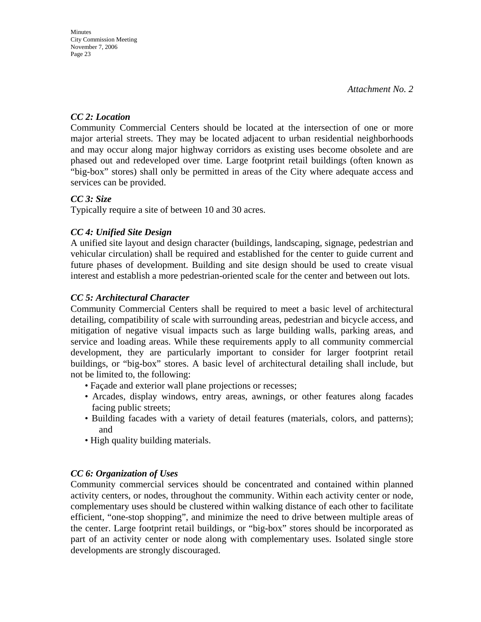## *CC 2: Location*

Community Commercial Centers should be located at the intersection of one or more major arterial streets. They may be located adjacent to urban residential neighborhoods and may occur along major highway corridors as existing uses become obsolete and are phased out and redeveloped over time. Large footprint retail buildings (often known as "big-box" stores) shall only be permitted in areas of the City where adequate access and services can be provided.

## *CC 3: Size*

Typically require a site of between 10 and 30 acres.

## *CC 4: Unified Site Design*

A unified site layout and design character (buildings, landscaping, signage, pedestrian and vehicular circulation) shall be required and established for the center to guide current and future phases of development. Building and site design should be used to create visual interest and establish a more pedestrian-oriented scale for the center and between out lots.

## *CC 5: Architectural Character*

 Community Commercial Centers shall be required to meet a basic level of architectural detailing, compatibility of scale with surrounding areas, pedestrian and bicycle access, and mitigation of negative visual impacts such as large building walls, parking areas, and service and loading areas. While these requirements apply to all community commercial development, they are particularly important to consider for larger footprint retail buildings, or "big-box" stores. A basic level of architectural detailing shall include, but not be limited to, the following:

- Façade and exterior wall plane projections or recesses;
- Arcades, display windows, entry areas, awnings, or other features along facades facing public streets;
- Building facades with a variety of detail features (materials, colors, and patterns); and
- High quality building materials.

## *CC 6: Organization of Uses*

Community commercial services should be concentrated and contained within planned activity centers, or nodes, throughout the community. Within each activity center or node, complementary uses should be clustered within walking distance of each other to facilitate efficient, "one-stop shopping", and minimize the need to drive between multiple areas of the center. Large footprint retail buildings, or "big-box" stores should be incorporated as part of an activity center or node along with complementary uses. Isolated single store developments are strongly discouraged.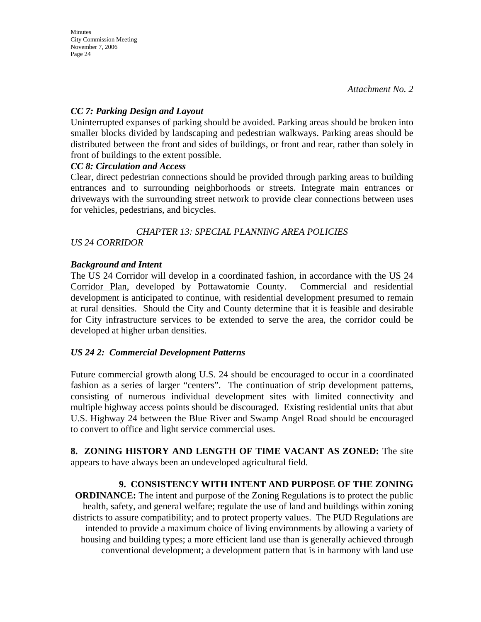### *CC 7: Parking Design and Layout*

Uninterrupted expanses of parking should be avoided. Parking areas should be broken into smaller blocks divided by landscaping and pedestrian walkways. Parking areas should be distributed between the front and sides of buildings, or front and rear, rather than solely in front of buildings to the extent possible.

#### *CC 8: Circulation and Access*

Clear, direct pedestrian connections should be provided through parking areas to building entrances and to surrounding neighborhoods or streets. Integrate main entrances or driveways with the surrounding street network to provide clear connections between uses for vehicles, pedestrians, and bicycles.

### *CHAPTER 13: SPECIAL PLANNING AREA POLICIES US 24 CORRIDOR*

## *Background and Intent*

The US 24 Corridor will develop in a coordinated fashion, in accordance with the US 24 Corridor Plan, developed by Pottawatomie County. Commercial and residential development is anticipated to continue, with residential development presumed to remain at rural densities. Should the City and County determine that it is feasible and desirable for City infrastructure services to be extended to serve the area, the corridor could be developed at higher urban densities.

#### *US 24 2: Commercial Development Patterns*

Future commercial growth along U.S. 24 should be encouraged to occur in a coordinated fashion as a series of larger "centers". The continuation of strip development patterns, consisting of numerous individual development sites with limited connectivity and multiple highway access points should be discouraged. Existing residential units that abut U.S. Highway 24 between the Blue River and Swamp Angel Road should be encouraged to convert to office and light service commercial uses.

**8. ZONING HISTORY AND LENGTH OF TIME VACANT AS ZONED:** The site appears to have always been an undeveloped agricultural field.

## **9. CONSISTENCY WITH INTENT AND PURPOSE OF THE ZONING**

**ORDINANCE:** The intent and purpose of the Zoning Regulations is to protect the public health, safety, and general welfare; regulate the use of land and buildings within zoning districts to assure compatibility; and to protect property values. The PUD Regulations are intended to provide a maximum choice of living environments by allowing a variety of housing and building types; a more efficient land use than is generally achieved through conventional development; a development pattern that is in harmony with land use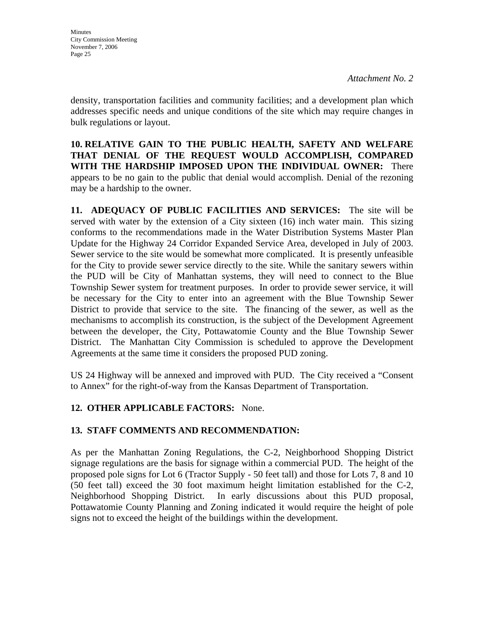density, transportation facilities and community facilities; and a development plan which addresses specific needs and unique conditions of the site which may require changes in bulk regulations or layout.

**10. RELATIVE GAIN TO THE PUBLIC HEALTH, SAFETY AND WELFARE THAT DENIAL OF THE REQUEST WOULD ACCOMPLISH, COMPARED WITH THE HARDSHIP IMPOSED UPON THE INDIVIDUAL OWNER:** There appears to be no gain to the public that denial would accomplish. Denial of the rezoning may be a hardship to the owner.

**11. ADEQUACY OF PUBLIC FACILITIES AND SERVICES:** The site will be served with water by the extension of a City sixteen (16) inch water main. This sizing conforms to the recommendations made in the Water Distribution Systems Master Plan Update for the Highway 24 Corridor Expanded Service Area, developed in July of 2003. Sewer service to the site would be somewhat more complicated. It is presently unfeasible for the City to provide sewer service directly to the site. While the sanitary sewers within the PUD will be City of Manhattan systems, they will need to connect to the Blue Township Sewer system for treatment purposes. In order to provide sewer service, it will be necessary for the City to enter into an agreement with the Blue Township Sewer District to provide that service to the site. The financing of the sewer, as well as the mechanisms to accomplish its construction, is the subject of the Development Agreement between the developer, the City, Pottawatomie County and the Blue Township Sewer District. The Manhattan City Commission is scheduled to approve the Development Agreements at the same time it considers the proposed PUD zoning.

US 24 Highway will be annexed and improved with PUD. The City received a "Consent to Annex" for the right-of-way from the Kansas Department of Transportation.

## **12. OTHER APPLICABLE FACTORS:** None.

## **13. STAFF COMMENTS AND RECOMMENDATION:**

As per the Manhattan Zoning Regulations, the C-2, Neighborhood Shopping District signage regulations are the basis for signage within a commercial PUD. The height of the proposed pole signs for Lot 6 (Tractor Supply - 50 feet tall) and those for Lots 7, 8 and 10 (50 feet tall) exceed the 30 foot maximum height limitation established for the C-2, Neighborhood Shopping District. In early discussions about this PUD proposal, Pottawatomie County Planning and Zoning indicated it would require the height of pole signs not to exceed the height of the buildings within the development.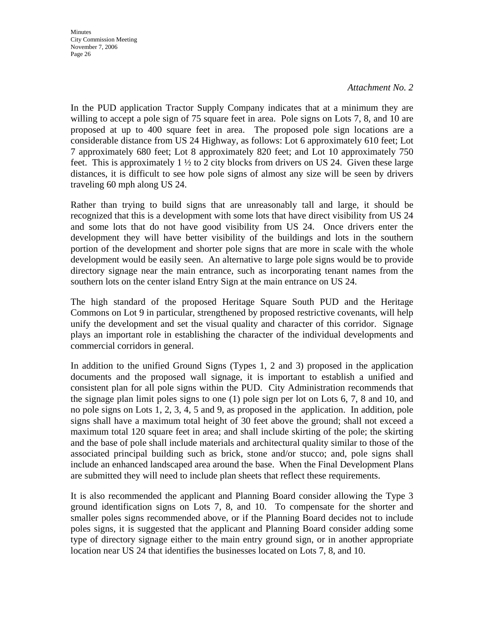#### *Attachment No. 2*

In the PUD application Tractor Supply Company indicates that at a minimum they are willing to accept a pole sign of 75 square feet in area. Pole signs on Lots 7, 8, and 10 are proposed at up to 400 square feet in area. The proposed pole sign locations are a considerable distance from US 24 Highway, as follows: Lot 6 approximately 610 feet; Lot 7 approximately 680 feet; Lot 8 approximately 820 feet; and Lot 10 approximately 750 feet. This is approximately 1 ½ to 2 city blocks from drivers on US 24. Given these large distances, it is difficult to see how pole signs of almost any size will be seen by drivers traveling 60 mph along US 24.

Rather than trying to build signs that are unreasonably tall and large, it should be recognized that this is a development with some lots that have direct visibility from US 24 and some lots that do not have good visibility from US 24. Once drivers enter the development they will have better visibility of the buildings and lots in the southern portion of the development and shorter pole signs that are more in scale with the whole development would be easily seen. An alternative to large pole signs would be to provide directory signage near the main entrance, such as incorporating tenant names from the southern lots on the center island Entry Sign at the main entrance on US 24.

The high standard of the proposed Heritage Square South PUD and the Heritage Commons on Lot 9 in particular, strengthened by proposed restrictive covenants, will help unify the development and set the visual quality and character of this corridor. Signage plays an important role in establishing the character of the individual developments and commercial corridors in general.

In addition to the unified Ground Signs (Types 1, 2 and 3) proposed in the application documents and the proposed wall signage, it is important to establish a unified and consistent plan for all pole signs within the PUD. City Administration recommends that the signage plan limit poles signs to one (1) pole sign per lot on Lots 6, 7, 8 and 10, and no pole signs on Lots 1, 2, 3, 4, 5 and 9, as proposed in the application. In addition, pole signs shall have a maximum total height of 30 feet above the ground; shall not exceed a maximum total 120 square feet in area; and shall include skirting of the pole; the skirting and the base of pole shall include materials and architectural quality similar to those of the associated principal building such as brick, stone and/or stucco; and, pole signs shall include an enhanced landscaped area around the base. When the Final Development Plans are submitted they will need to include plan sheets that reflect these requirements.

It is also recommended the applicant and Planning Board consider allowing the Type 3 ground identification signs on Lots 7, 8, and 10. To compensate for the shorter and smaller poles signs recommended above, or if the Planning Board decides not to include poles signs, it is suggested that the applicant and Planning Board consider adding some type of directory signage either to the main entry ground sign, or in another appropriate location near US 24 that identifies the businesses located on Lots 7, 8, and 10.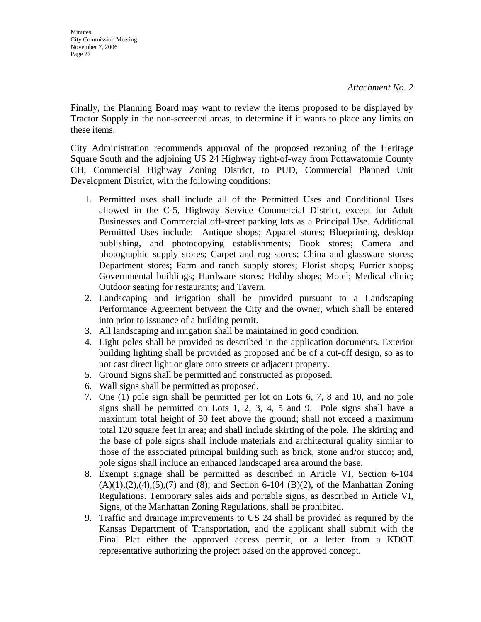Finally, the Planning Board may want to review the items proposed to be displayed by Tractor Supply in the non-screened areas, to determine if it wants to place any limits on these items.

City Administration recommends approval of the proposed rezoning of the Heritage Square South and the adjoining US 24 Highway right-of-way from Pottawatomie County CH, Commercial Highway Zoning District, to PUD, Commercial Planned Unit Development District, with the following conditions:

- 1. Permitted uses shall include all of the Permitted Uses and Conditional Uses allowed in the C-5, Highway Service Commercial District, except for Adult Businesses and Commercial off-street parking lots as a Principal Use. Additional Permitted Uses include: Antique shops; Apparel stores; Blueprinting, desktop publishing, and photocopying establishments; Book stores; Camera and photographic supply stores; Carpet and rug stores; China and glassware stores; Department stores; Farm and ranch supply stores; Florist shops; Furrier shops; Governmental buildings; Hardware stores; Hobby shops; Motel; Medical clinic; Outdoor seating for restaurants; and Tavern.
- 2. Landscaping and irrigation shall be provided pursuant to a Landscaping Performance Agreement between the City and the owner, which shall be entered into prior to issuance of a building permit.
- 3. All landscaping and irrigation shall be maintained in good condition.
- 4. Light poles shall be provided as described in the application documents. Exterior building lighting shall be provided as proposed and be of a cut-off design, so as to not cast direct light or glare onto streets or adjacent property.
- 5. Ground Signs shall be permitted and constructed as proposed.
- 6. Wall signs shall be permitted as proposed.
- 7. One (1) pole sign shall be permitted per lot on Lots 6, 7, 8 and 10, and no pole signs shall be permitted on Lots 1, 2, 3, 4, 5 and 9. Pole signs shall have a maximum total height of 30 feet above the ground; shall not exceed a maximum total 120 square feet in area; and shall include skirting of the pole. The skirting and the base of pole signs shall include materials and architectural quality similar to those of the associated principal building such as brick, stone and/or stucco; and, pole signs shall include an enhanced landscaped area around the base.
- 8. Exempt signage shall be permitted as described in Article VI, Section 6-104  $(A)(1),(2),(4),(5),(7)$  and  $(8)$ ; and Section 6-104  $(B)(2)$ , of the Manhattan Zoning Regulations. Temporary sales aids and portable signs, as described in Article VI, Signs, of the Manhattan Zoning Regulations, shall be prohibited.
- 9. Traffic and drainage improvements to US 24 shall be provided as required by the Kansas Department of Transportation, and the applicant shall submit with the Final Plat either the approved access permit, or a letter from a KDOT representative authorizing the project based on the approved concept.